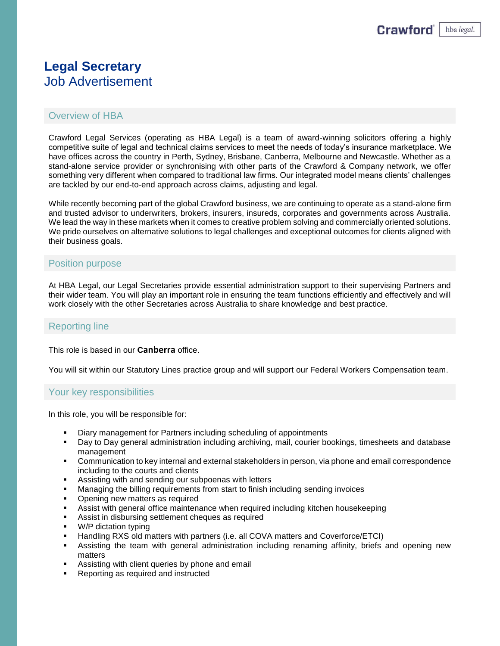# **Legal Secretary** Job Advertisement

## Overview of HBA

Crawford Legal Services (operating as HBA Legal) is a team of award-winning solicitors offering a highly competitive suite of legal and technical claims services to meet the needs of today's insurance marketplace. We have offices across the country in Perth, Sydney, Brisbane, Canberra, Melbourne and Newcastle. Whether as a stand-alone service provider or synchronising with other parts of the Crawford & Company network, we offer something very different when compared to traditional law firms. Our integrated model means clients' challenges are tackled by our end-to-end approach across claims, adjusting and legal.

While recently becoming part of the global Crawford business, we are continuing to operate as a stand-alone firm and trusted advisor to underwriters, brokers, insurers, insureds, corporates and governments across Australia. We lead the way in these markets when it comes to creative problem solving and commercially oriented solutions. We pride ourselves on alternative solutions to legal challenges and exceptional outcomes for clients aligned with their business goals.

#### Position purpose

At HBA Legal, our Legal Secretaries provide essential administration support to their supervising Partners and their wider team. You will play an important role in ensuring the team functions efficiently and effectively and will work closely with the other Secretaries across Australia to share knowledge and best practice.

### Reporting line

This role is based in our **Canberra** office.

You will sit within our Statutory Lines practice group and will support our Federal Workers Compensation team.

#### Your key responsibilities

In this role, you will be responsible for:

- Diary management for Partners including scheduling of appointments
- Day to Day general administration including archiving, mail, courier bookings, timesheets and database management
- Communication to key internal and external stakeholders in person, via phone and email correspondence including to the courts and clients
- Assisting with and sending our subpoenas with letters
- Managing the billing requirements from start to finish including sending invoices
- Opening new matters as required
- **EXEL Assist with general office maintenance when required including kitchen housekeeping**
- Assist in disbursing settlement cheques as required
- W/P dictation typing
- Handling RXS old matters with partners (i.e. all COVA matters and Coverforce/ETCI)
- **EXECT** Assisting the team with general administration including renaming affinity, briefs and opening new matters
- Assisting with client queries by phone and email
- Reporting as required and instructed